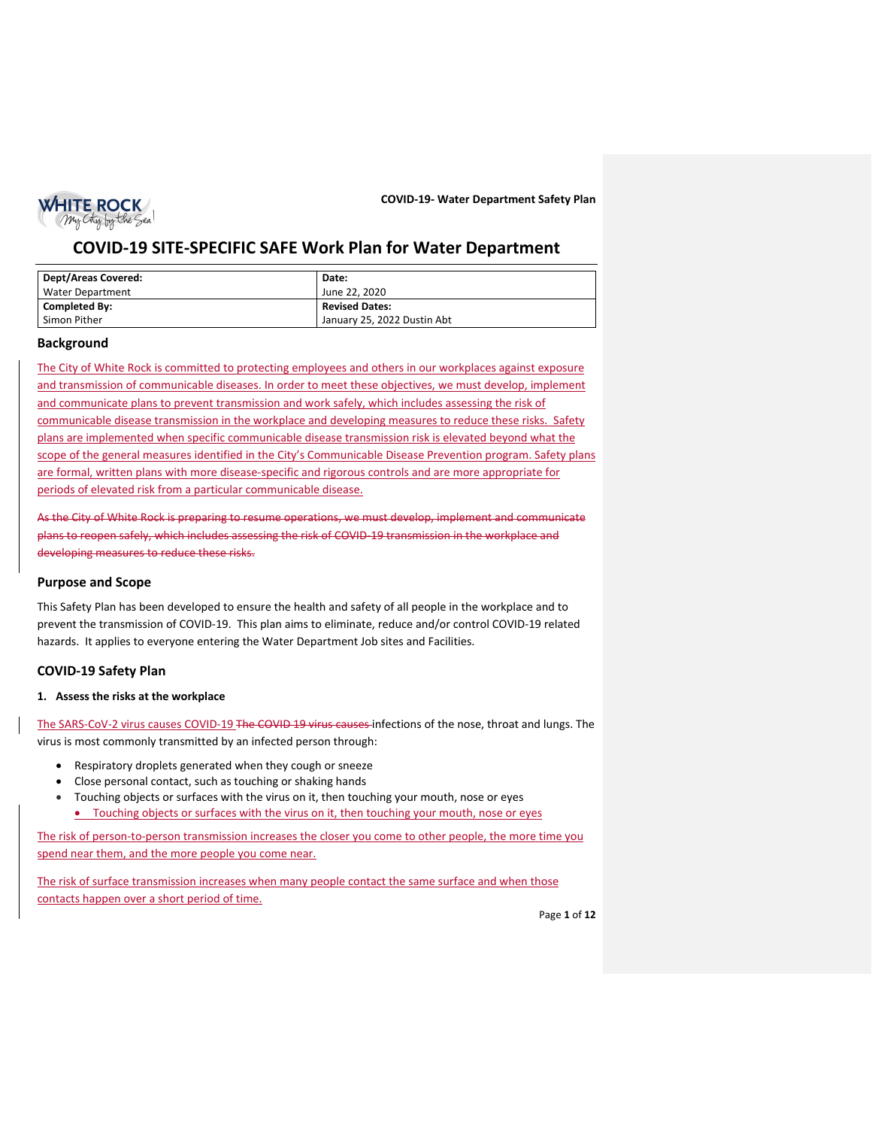

# **COVID-19 SITE-SPECIFIC SAFE Work Plan for Water Department**

| <b>Dept/Areas Covered:</b> | Date:                       |
|----------------------------|-----------------------------|
| Water Department           | June 22, 2020               |
| Completed By:              | <b>Revised Dates:</b>       |
| Simon Pither               | January 25, 2022 Dustin Abt |

# **Background**

The City of White Rock is committed to protecting employees and others in our workplaces against exposure and transmission of communicable diseases. In order to meet these objectives, we must develop, implement and communicate plans to prevent transmission and work safely, which includes assessing the risk of communicable disease transmission in the workplace and developing measures to reduce these risks. Safety plans are implemented when specific communicable disease transmission risk is elevated beyond what the scope of the general measures identified in the City's Communicable Disease Prevention program. Safety plans are formal, written plans with more disease-specific and rigorous controls and are more appropriate for periods of elevated risk from a particular communicable disease.

As the City of White Rock is preparing to resume operations, we must develop, implement and communicate plans to reopen safely, which includes assessing the risk of COVID-19 transmission in the workplace and developing measures to reduce these risks.

# **Purpose and Scope**

This Safety Plan has been developed to ensure the health and safety of all people in the workplace and to prevent the transmission of COVID-19. This plan aims to eliminate, reduce and/or control COVID-19 related hazards. It applies to everyone entering the Water Department Job sites and Facilities.

# **COVID-19 Safety Plan**

# **1. Assess the risks at the workplace**

The SARS-CoV-2 virus causes COVID-19 The COVID 19 virus causes infections of the nose, throat and lungs. The virus is most commonly transmitted by an infected person through:

- Respiratory droplets generated when they cough or sneeze
- Close personal contact, such as touching or shaking hands
- Touching objects or surfaces with the virus on it, then touching your mouth, nose or eyes • Touching objects or surfaces with the virus on it, then touching your mouth, nose or eyes

The risk of person-to-person transmission increases the closer you come to other people, the more time you spend near them, and the more people you come near.

The risk of surface transmission increases when many people contact the same surface and when those contacts happen over a short period of time.

Page **1** of **12**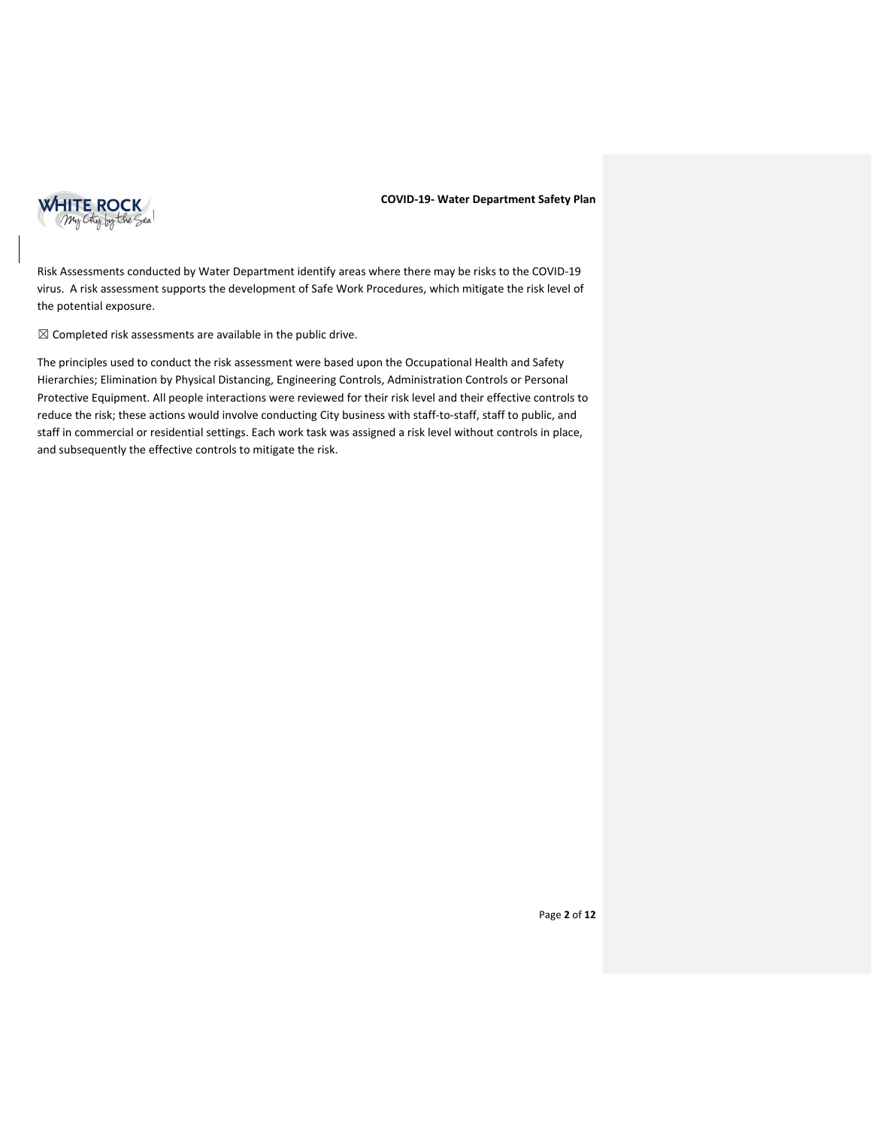

Risk Assessments conducted by Water Department identify areas where there may be risks to the COVID-19 virus. A risk assessment supports the development of Safe Work Procedures, which mitigate the risk level of the potential exposure.

 $\boxtimes$  Completed risk assessments are available in the public drive.

The principles used to conduct the risk assessment were based upon the Occupational Health and Safety Hierarchies; Elimination by Physical Distancing, Engineering Controls, Administration Controls or Personal Protective Equipment. All people interactions were reviewed for their risk level and their effective controls to reduce the risk; these actions would involve conducting City business with staff-to-staff, staff to public, and staff in commercial or residential settings. Each work task was assigned a risk level without controls in place, and subsequently the effective controls to mitigate the risk.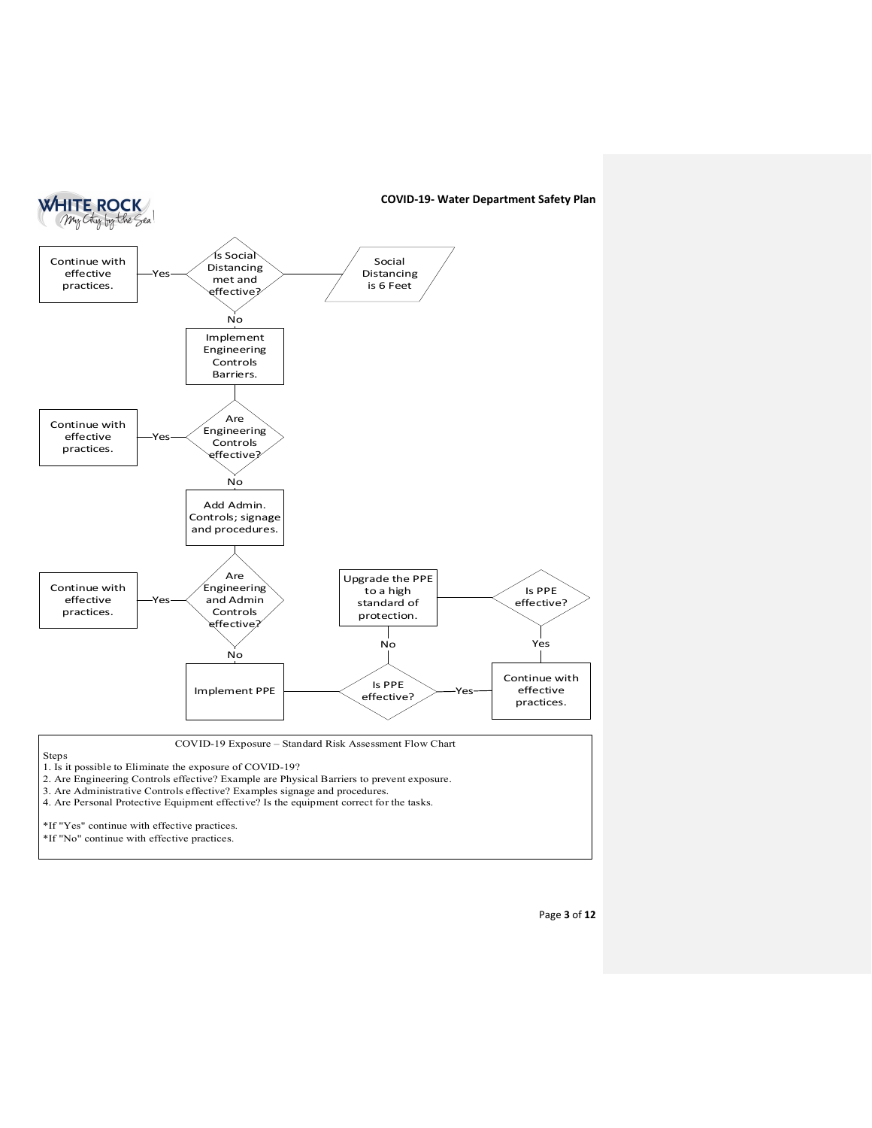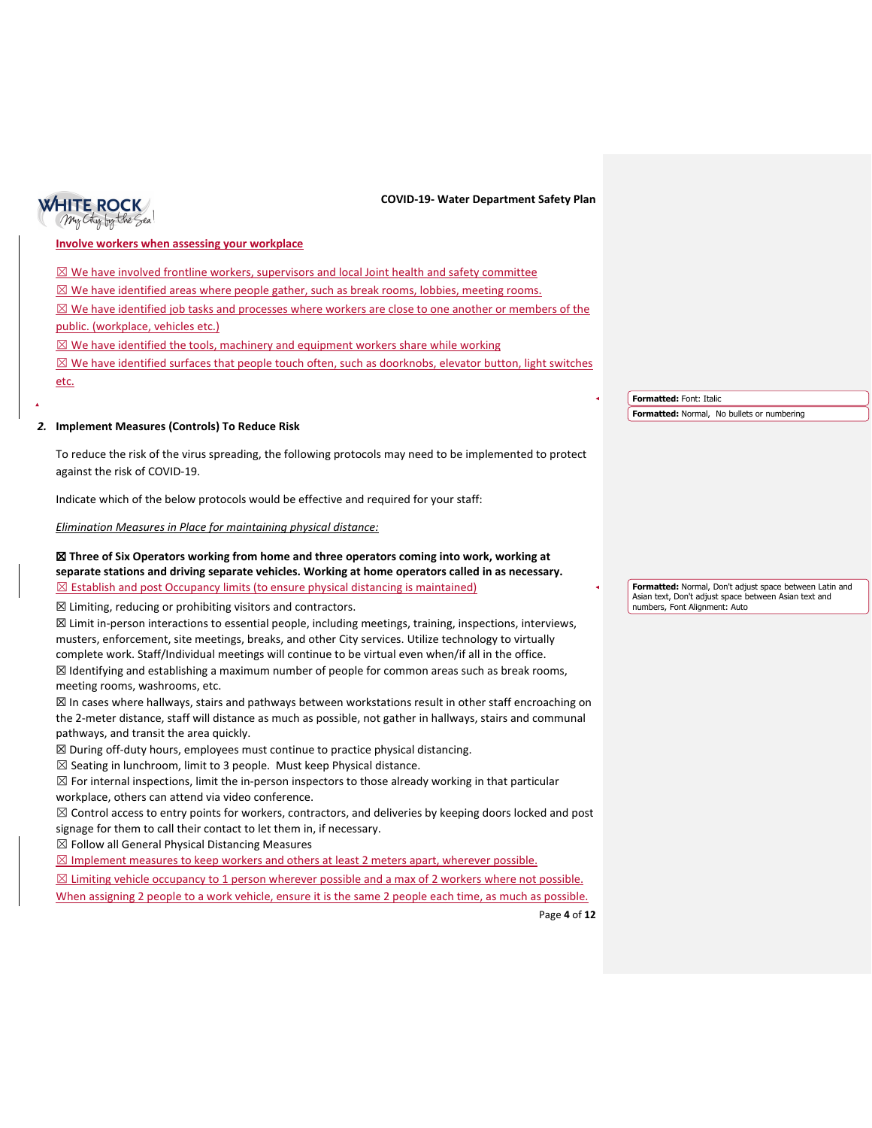

### **Involve workers when assessing your workplace**

 $\boxtimes$  We have involved frontline workers, supervisors and local Joint health and safety committee

 $\boxtimes$  We have identified areas where people gather, such as break rooms, lobbies, meeting rooms.

 $\boxtimes$  We have identified job tasks and processes where workers are close to one another or members of the public. (workplace, vehicles etc.)

 $\boxtimes$  We have identified the tools, machinery and equipment workers share while working

 $\boxtimes$  We have identified surfaces that people touch often, such as doorknobs, elevator button, light switches

etc.

# *2.* **Implement Measures (Controls) To Reduce Risk**

To reduce the risk of the virus spreading, the following protocols may need to be implemented to protect against the risk of COVID-19.

Indicate which of the below protocols would be effective and required for your staff:

*Elimination Measures in Place for maintaining physical distance:* 

## ☒ **Three of Six Operators working from home and three operators coming into work, working at separate stations and driving separate vehicles. Working at home operators called in as necessary.**  $\boxtimes$  Establish and post Occupancy limits (to ensure physical distancing is maintained)

☒ Limiting, reducing or prohibiting visitors and contractors.

☒ Limit in-person interactions to essential people, including meetings, training, inspections, interviews, musters, enforcement, site meetings, breaks, and other City services. Utilize technology to virtually complete work. Staff/Individual meetings will continue to be virtual even when/if all in the office. ☒ Identifying and establishing a maximum number of people for common areas such as break rooms, meeting rooms, washrooms, etc.

 $\boxtimes$  In cases where hallways, stairs and pathways between workstations result in other staff encroaching on the 2-meter distance, staff will distance as much as possible, not gather in hallways, stairs and communal pathways, and transit the area quickly.

☒ During off-duty hours, employees must continue to practice physical distancing.

 $\boxtimes$  Seating in lunchroom, limit to 3 people. Must keep Physical distance.

 $\boxtimes$  For internal inspections, limit the in-person inspectors to those already working in that particular workplace, others can attend via video conference.

☒ Control access to entry points for workers, contractors, and deliveries by keeping doors locked and post signage for them to call their contact to let them in, if necessary.

 $\boxtimes$  Follow all General Physical Distancing Measures

 $\boxtimes$  Implement measures to keep workers and others at least 2 meters apart, wherever possible.

 $\boxtimes$  Limiting vehicle occupancy to 1 person wherever possible and a max of 2 workers where not possible.

When assigning 2 people to a work vehicle, ensure it is the same 2 people each time, as much as possible.

Page **4** of **12**

**Formatted:** Font: Italic **Formatted:** Normal, No bullets or numbering

**Formatted:** Normal, Don't adjust space between Latin and Asian text, Don't adjust space between Asian text and numbers, Font Alignment: Auto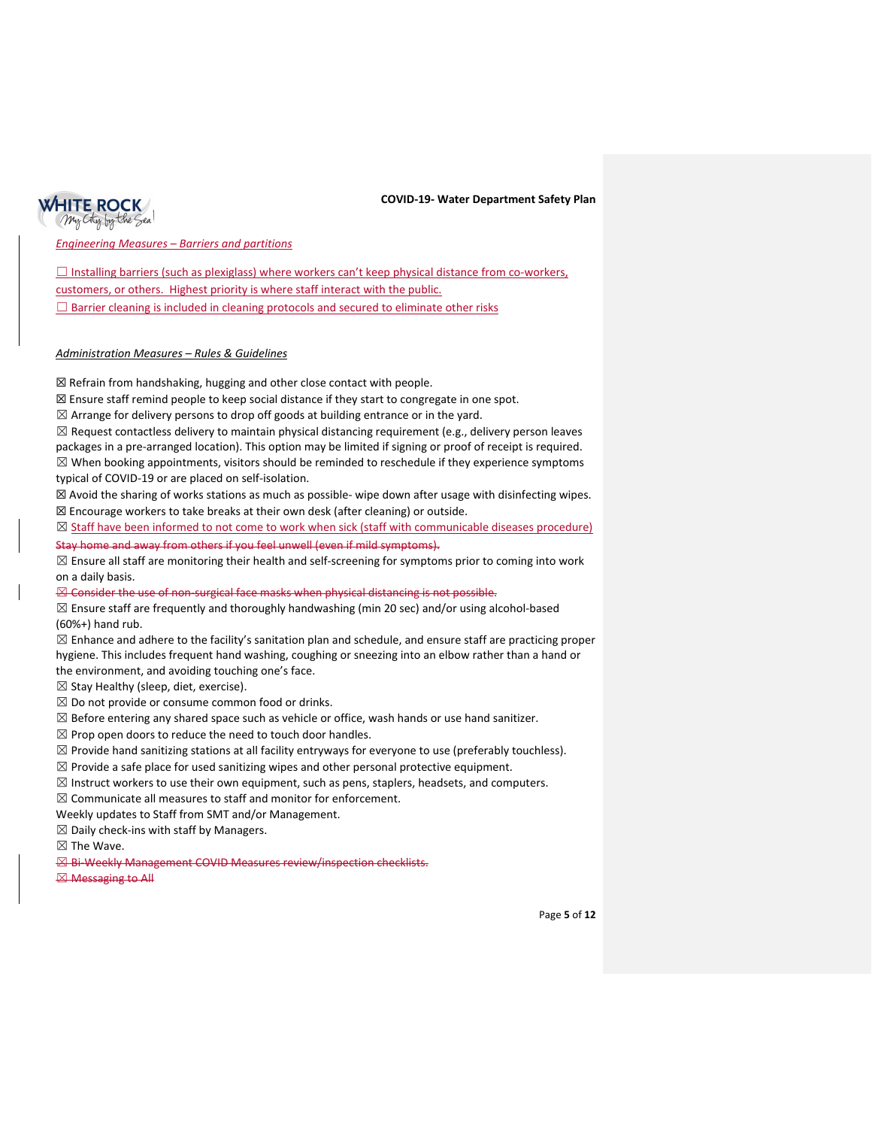

*Engineering Measures – Barriers and partitions* 

 $\Box$  Installing barriers (such as plexiglass) where workers can't keep physical distance from co-workers, customers, or others. Highest priority is where staff interact with the public.  $\Box$  Barrier cleaning is included in cleaning protocols and secured to eliminate other risks

### *Administration Measures – Rules & Guidelines*

☒ Refrain from handshaking, hugging and other close contact with people.

☒ Ensure staff remind people to keep social distance if they start to congregate in one spot.

 $\boxtimes$  Arrange for delivery persons to drop off goods at building entrance or in the yard.

 $\boxtimes$  Request contactless delivery to maintain physical distancing requirement (e.g., delivery person leaves packages in a pre-arranged location). This option may be limited if signing or proof of receipt is required.  $\boxtimes$  When booking appointments, visitors should be reminded to reschedule if they experience symptoms typical of COVID-19 or are placed on self-isolation.

☒ Avoid the sharing of works stations as much as possible- wipe down after usage with disinfecting wipes. ☒ Encourage workers to take breaks at their own desk (after cleaning) or outside.

☒ Staff have been informed to not come to work when sick (staff with communicable diseases procedure) Stay home and away from others if you feel unwell (even if mild symptoms).

 $\boxtimes$  Ensure all staff are monitoring their health and self-screening for symptoms prior to coming into work on a daily basis.

 $\boxtimes$  Consider the use of non-surgical face masks when physical distancing is not possible.

 $\boxtimes$  Ensure staff are frequently and thoroughly handwashing (min 20 sec) and/or using alcohol-based (60%+) hand rub.

 $\boxtimes$  Enhance and adhere to the facility's sanitation plan and schedule, and ensure staff are practicing proper hygiene. This includes frequent hand washing, coughing or sneezing into an elbow rather than a hand or the environment, and avoiding touching one's face.

 $\boxtimes$  Stay Healthy (sleep, diet, exercise).

 $\boxtimes$  Do not provide or consume common food or drinks.

 $\boxtimes$  Before entering any shared space such as vehicle or office, wash hands or use hand sanitizer.

 $\boxtimes$  Prop open doors to reduce the need to touch door handles.

 $\boxtimes$  Provide hand sanitizing stations at all facility entryways for everyone to use (preferably touchless).

 $\boxtimes$  Provide a safe place for used sanitizing wipes and other personal protective equipment.

 $\boxtimes$  Instruct workers to use their own equipment, such as pens, staplers, headsets, and computers.

 $\boxtimes$  Communicate all measures to staff and monitor for enforcement.

Weekly updates to Staff from SMT and/or Management.

 $\boxtimes$  Daily check-ins with staff by Managers.

☒ The Wave.

☒ Bi-Weekly Management COVID Measures review/inspection checklists.

☒ Messaging to All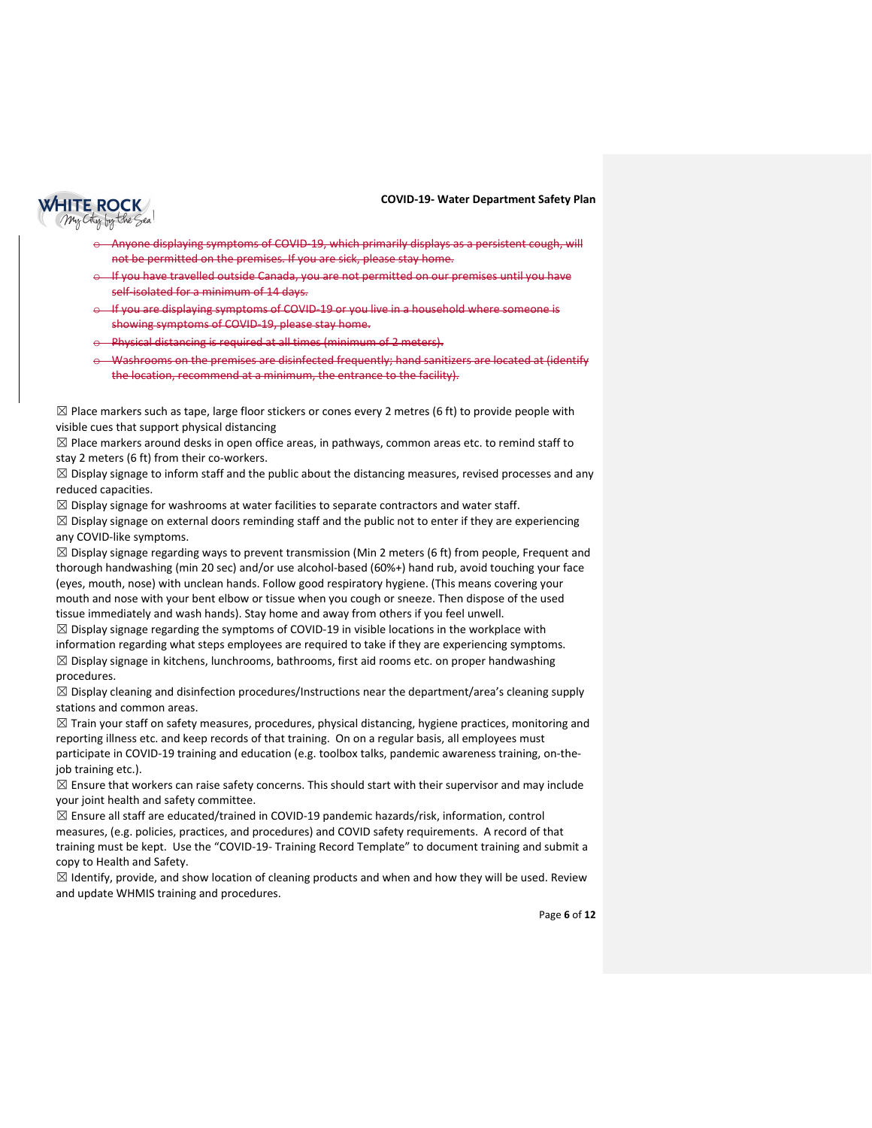

- Anyone displaying symptoms of COVID-19, which primarily displays as a persistent cough, will not be permitted on the premises. If you are sick, please stay home.
- If you have travelled outside Canada, you are not permitted on our premises until you have self-isolated for a minimum of 14 days.
- If you are displaying symptoms of COVID-19 or you live in a household where someone is showing symptoms of COVID-19, please stay home.
- Physical distancing is required at all times (minimum of 2 meters).
- Washrooms on the premises are disinfected frequently; hand sanitizers are located at (identify the location, recommend at a minimum, the entrance to the facility).

 $\boxtimes$  Place markers such as tape, large floor stickers or cones every 2 metres (6 ft) to provide people with visible cues that support physical distancing

 $\boxtimes$  Place markers around desks in open office areas, in pathways, common areas etc. to remind staff to stay 2 meters (6 ft) from their co-workers.

 $\boxtimes$  Display signage to inform staff and the public about the distancing measures, revised processes and any reduced capacities.

 $\boxtimes$  Display signage for washrooms at water facilities to separate contractors and water staff.

 $\boxtimes$  Display signage on external doors reminding staff and the public not to enter if they are experiencing any COVID-like symptoms.

 $\boxtimes$  Display signage regarding ways to prevent transmission (Min 2 meters (6 ft) from people, Frequent and thorough handwashing (min 20 sec) and/or use alcohol-based (60%+) hand rub, avoid touching your face (eyes, mouth, nose) with unclean hands. Follow good respiratory hygiene. (This means covering your mouth and nose with your bent elbow or tissue when you cough or sneeze. Then dispose of the used tissue immediately and wash hands). Stay home and away from others if you feel unwell.

 $\boxtimes$  Display signage regarding the symptoms of COVID-19 in visible locations in the workplace with information regarding what steps employees are required to take if they are experiencing symptoms.  $\boxtimes$  Display signage in kitchens, lunchrooms, bathrooms, first aid rooms etc. on proper handwashing procedures.

 $\boxtimes$  Display cleaning and disinfection procedures/Instructions near the department/area's cleaning supply stations and common areas.

 $\boxtimes$  Train your staff on safety measures, procedures, physical distancing, hygiene practices, monitoring and reporting illness etc. and keep records of that training. On on a regular basis, all employees must participate in COVID-19 training and education (e.g. toolbox talks, pandemic awareness training, on-thejob training etc.).

 $\boxtimes$  Ensure that workers can raise safety concerns. This should start with their supervisor and may include your joint health and safety committee.

 $\boxtimes$  Ensure all staff are educated/trained in COVID-19 pandemic hazards/risk, information, control measures, (e.g. policies, practices, and procedures) and COVID safety requirements. A record of that training must be kept. Use the "COVID-19- Training Record Template" to document training and submit a copy to Health and Safety.

 $\boxtimes$  Identify, provide, and show location of cleaning products and when and how they will be used. Review and update WHMIS training and procedures.

Page **6** of **12**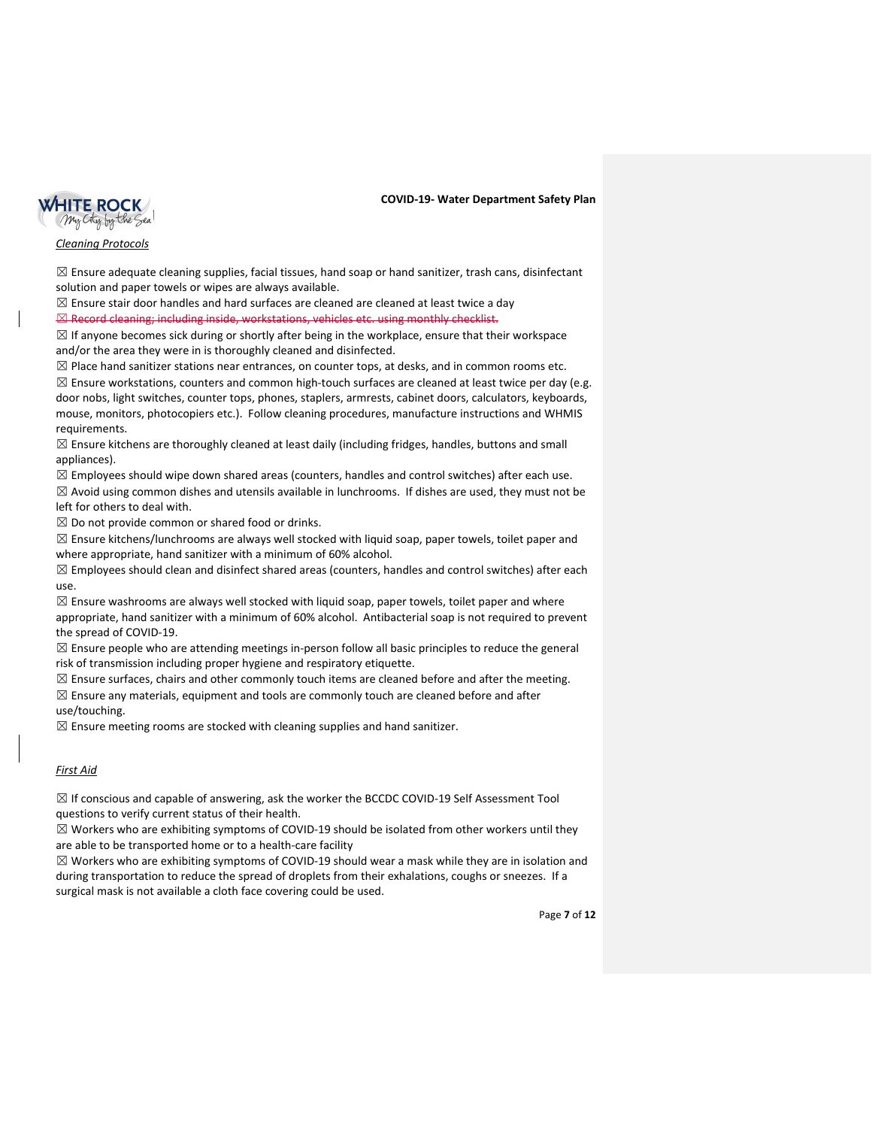

## *Cleaning Protocols*

 $\boxtimes$  Ensure adequate cleaning supplies, facial tissues, hand soap or hand sanitizer, trash cans, disinfectant solution and paper towels or wipes are always available.

 $\boxtimes$  Ensure stair door handles and hard surfaces are cleaned are cleaned at least twice a day **⊠ Record cleaning; including inside, workstations, vehicles etc. using monthly checklist.** 

 $\boxtimes$  If anyone becomes sick during or shortly after being in the workplace, ensure that their workspace and/or the area they were in is thoroughly cleaned and disinfected.

 $\boxtimes$  Place hand sanitizer stations near entrances, on counter tops, at desks, and in common rooms etc.

 $\boxtimes$  Ensure workstations, counters and common high-touch surfaces are cleaned at least twice per day (e.g. door nobs, light switches, counter tops, phones, staplers, armrests, cabinet doors, calculators, keyboards, mouse, monitors, photocopiers etc.). Follow cleaning procedures, manufacture instructions and WHMIS requirements.

 $\boxtimes$  Ensure kitchens are thoroughly cleaned at least daily (including fridges, handles, buttons and small appliances).

 $\boxtimes$  Employees should wipe down shared areas (counters, handles and control switches) after each use.

 $\boxtimes$  Avoid using common dishes and utensils available in lunchrooms. If dishes are used, they must not be left for others to deal with.

 $\boxtimes$  Do not provide common or shared food or drinks.

 $\boxtimes$  Ensure kitchens/lunchrooms are always well stocked with liquid soap, paper towels, toilet paper and where appropriate, hand sanitizer with a minimum of 60% alcohol.

 $\boxtimes$  Employees should clean and disinfect shared areas (counters, handles and control switches) after each use.

 $\boxtimes$  Ensure washrooms are always well stocked with liquid soap, paper towels, toilet paper and where appropriate, hand sanitizer with a minimum of 60% alcohol. Antibacterial soap is not required to prevent the spread of COVID-19.

 $\boxtimes$  Ensure people who are attending meetings in-person follow all basic principles to reduce the general risk of transmission including proper hygiene and respiratory etiquette.

 $\boxtimes$  Ensure surfaces, chairs and other commonly touch items are cleaned before and after the meeting.  $\boxtimes$  Ensure any materials, equipment and tools are commonly touch are cleaned before and after use/touching.

 $\boxtimes$  Ensure meeting rooms are stocked with cleaning supplies and hand sanitizer.

# *First Aid*

 $\boxtimes$  If conscious and capable of answering, ask the worker the BCCDC COVID-19 Self Assessment Tool questions to verify current status of their health.

 $\boxtimes$  Workers who are exhibiting symptoms of COVID-19 should be isolated from other workers until they are able to be transported home or to a health-care facility

 $\boxtimes$  Workers who are exhibiting symptoms of COVID-19 should wear a mask while they are in isolation and during transportation to reduce the spread of droplets from their exhalations, coughs or sneezes. If a surgical mask is not available a cloth face covering could be used.

Page **7** of **12**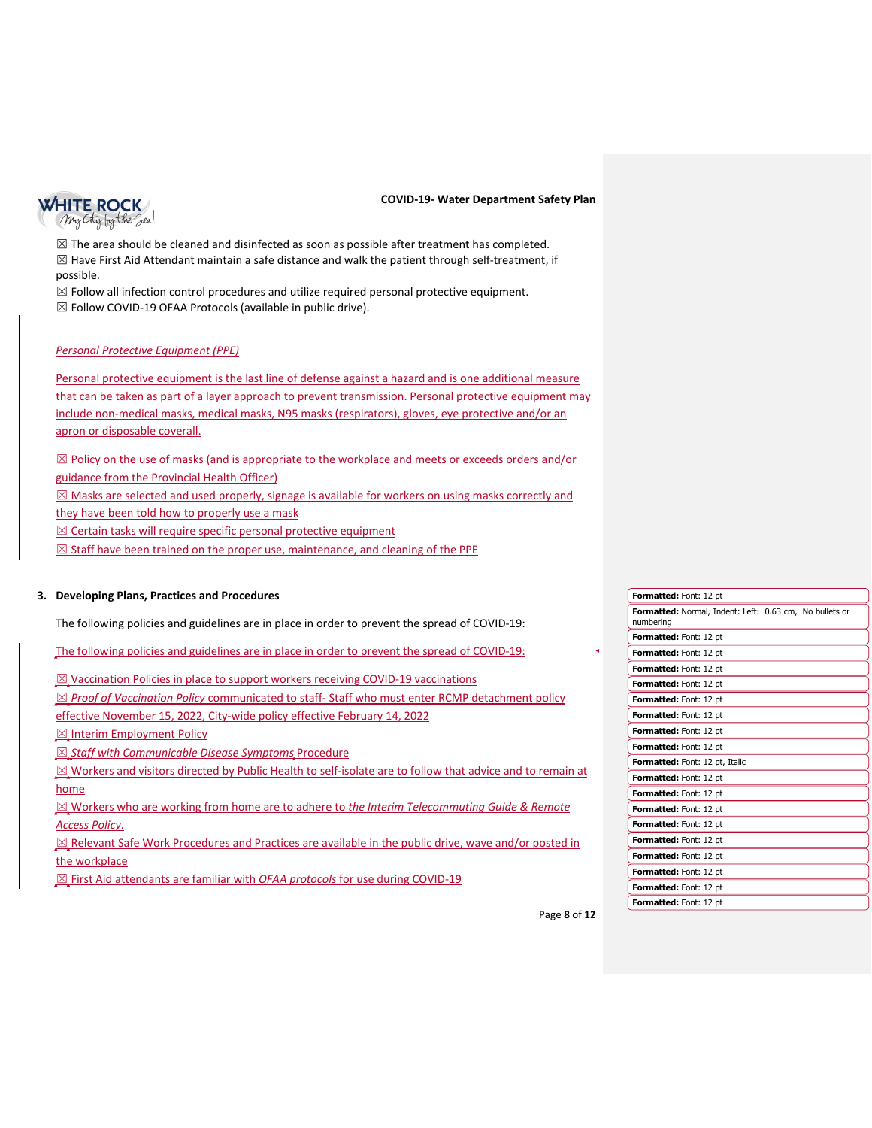

 $\boxtimes$  The area should be cleaned and disinfected as soon as possible after treatment has completed.  $\boxtimes$  Have First Aid Attendant maintain a safe distance and walk the patient through self-treatment, if possible.

 $\boxtimes$  Follow all infection control procedures and utilize required personal protective equipment.

 $\boxtimes$  Follow COVID-19 OFAA Protocols (available in public drive).

## *Personal Protective Equipment (PPE)*

Personal protective equipment is the last line of defense against a hazard and is one additional measure that can be taken as part of a layer approach to prevent transmission. Personal protective equipment may include non-medical masks, medical masks, N95 masks (respirators), gloves, eye protective and/or an apron or disposable coverall.

 $\boxtimes$  Policy on the use of masks (and is appropriate to the workplace and meets or exceeds orders and/or guidance from the Provincial Health Officer)

 $\boxtimes$  Masks are selected and used properly, signage is available for workers on using masks correctly and

they have been told how to properly use a mask

 $\boxtimes$  Certain tasks will require specific personal protective equipment

 $\boxtimes$  Staff have been trained on the proper use, maintenance, and cleaning of the PPE

### **3. Developing Plans, Practices and Procedures**

The following policies and guidelines are in place in order to prevent the spread of COVID-19:

The following policies and guidelines are in place in order to prevent the spread of COVID-19:

☒ Vaccination Policies in place to support workers receiving COVID-19 vaccinations

- ☒ *Proof of Vaccination Policy* communicated to staff- Staff who must enter RCMP detachment policy
- effective November 15, 2022, City-wide policy effective February 14, 2022

 $\boxtimes$  Interim Employment Policy

☒ *Staff with Communicable Disease Symptoms* Procedure

 $\boxtimes$  Workers and visitors directed by Public Health to self-isolate are to follow that advice and to remain at home

☒ Workers who are working from home are to adhere to *the Interim Telecommuting Guide & Remote Access Policy*.

 $\boxtimes$  Relevant Safe Work Procedures and Practices are available in the public drive, wave and/or posted in the workplace

☒ First Aid attendants are familiar with *OFAA protocols* for use during COVID-19

| Formatted: Font: 12 pt                                               |
|----------------------------------------------------------------------|
| Formatted: Normal, Indent: Left: 0.63 cm, No bullets or<br>numbering |
| Formatted: Font: 12 pt                                               |
| Formatted: Font: 12 pt                                               |
| Formatted: Font: 12 pt                                               |
| Formatted: Font: 12 pt                                               |
| <b>Formatted: Font: 12 pt</b>                                        |
| Formatted: Font: 12 pt                                               |
| Formatted: Font: 12 pt                                               |
| Formatted: Font: 12 pt                                               |
| Formatted: Font: 12 pt, Italic                                       |
| Formatted: Font: 12 pt                                               |
| Formatted: Font: 12 pt                                               |
| Formatted: Font: 12 pt                                               |
| Formatted: Font: 12 pt                                               |
| Formatted: Font: 12 pt                                               |
| Formatted: Font: 12 pt                                               |
| Formatted: Font: 12 pt                                               |
| Formatted: Font: 12 pt                                               |
| Formatted: Font: 12 pt                                               |
|                                                                      |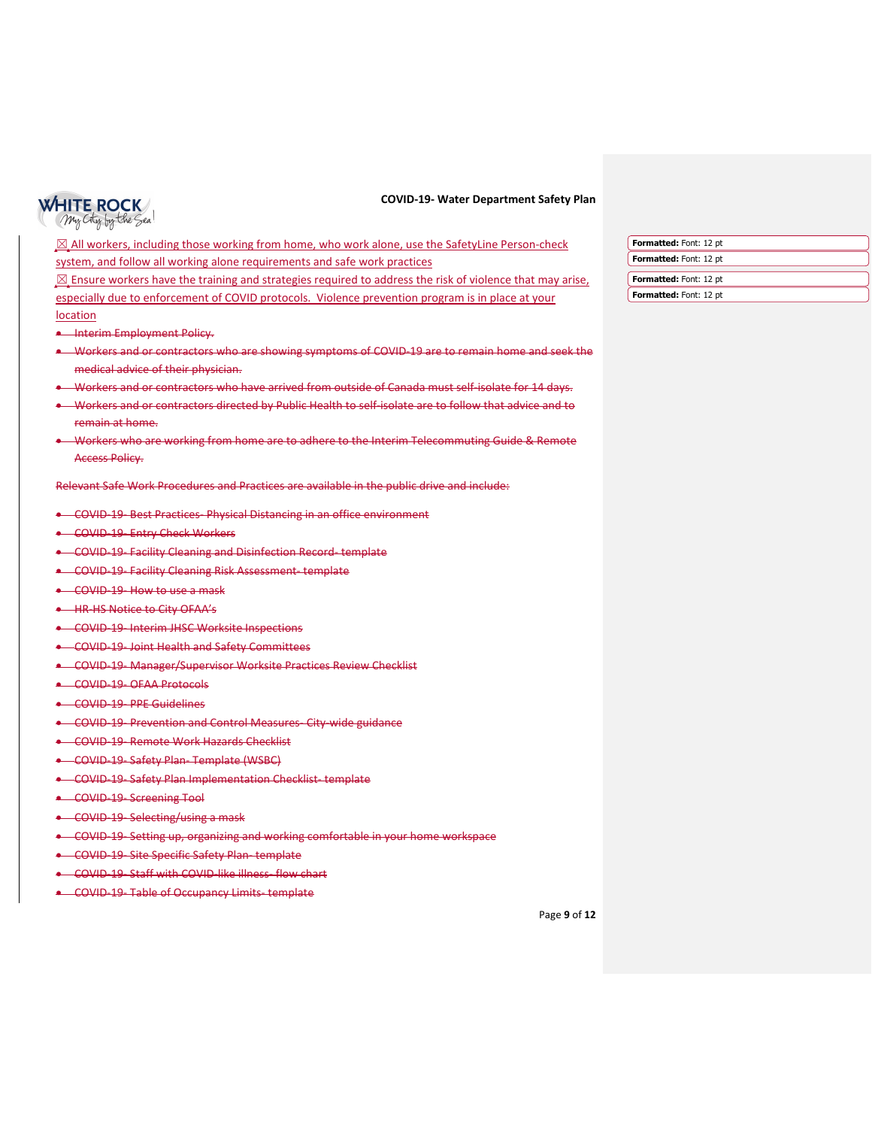# **WHITE ROCK** My City by the Sea!

#### **COVID-19- Water Department Safety Plan**

⊠ All workers, including those working from home, who work alone, use the SafetyLine Person-check system, and follow all working alone requirements and safe work practices  $\boxtimes$  Ensure workers have the training and strategies required to address the risk of violence that may arise, especially due to enforcement of COVID protocols. Violence prevention program is in place at your location **Formatted:** Font: 12 pt **Formatted:** Font: 12 pt **Formatted:** Font: 12 pt **Formatted:** Font: 12 pt

- Interim Employment Policy.
- Workers and or contractors who are showing symptoms of COVID-19 are to remain home and seek the medical advice of their physician.
- Workers and or contractors who have arrived from outside of Canada must self-isolate for 14 days.
- Workers and or contractors directed by Public Health to self-isolate are to follow that advice and to remain at home.
- Workers who are working from home are to adhere to the Interim Telecommuting Guide & Remote Access Policy.

Relevant Safe Work Procedures and Practices are available in the public drive and include:

- COVID-19- Best Practices- Physical Distancing in an office environment
- COVID-19- Entry Check Workers
- COVID-19- Facility Cleaning and Disinfection Record- template
- COVID-19- Facility Cleaning Risk Assessment- template
- COVID-19- How to use a mask
- HR-HS Notice to City OFAA's
- COVID-19- Interim JHSC Worksite Inspections
- COVID-19- Joint Health and Safety Committees
- COVID-19- Manager/Supervisor Worksite Practices Review Checklist
- COVID-19- OFAA Protocols
- COVID-19- PPE Guidelines
- COVID-19- Prevention and Control Measures- City-wide guidance
- COVID-19- Remote Work Hazards Checklist
- COVID-19- Safety Plan- Template (WSBC)
- COVID-19- Safety Plan Implementation Checklist- template
- COVID-19- Screening Tool
- COVID-19- Selecting/using a mask
- COVID-19- Setting up, organizing and working comfortable in your home workspace
- COVID-19- Site Specific Safety Plan- template
- COVID-19- Staff with COVID-like illness- flow chart
- COVID-19- Table of Occupancy Limits- template

| Formatted: Font: 12 pt |
|------------------------|
| Formatted: Font: 12 pt |
| Formatted: Font: 12 pt |
| Formatted: Font: 12 pt |

Page **9** of **12**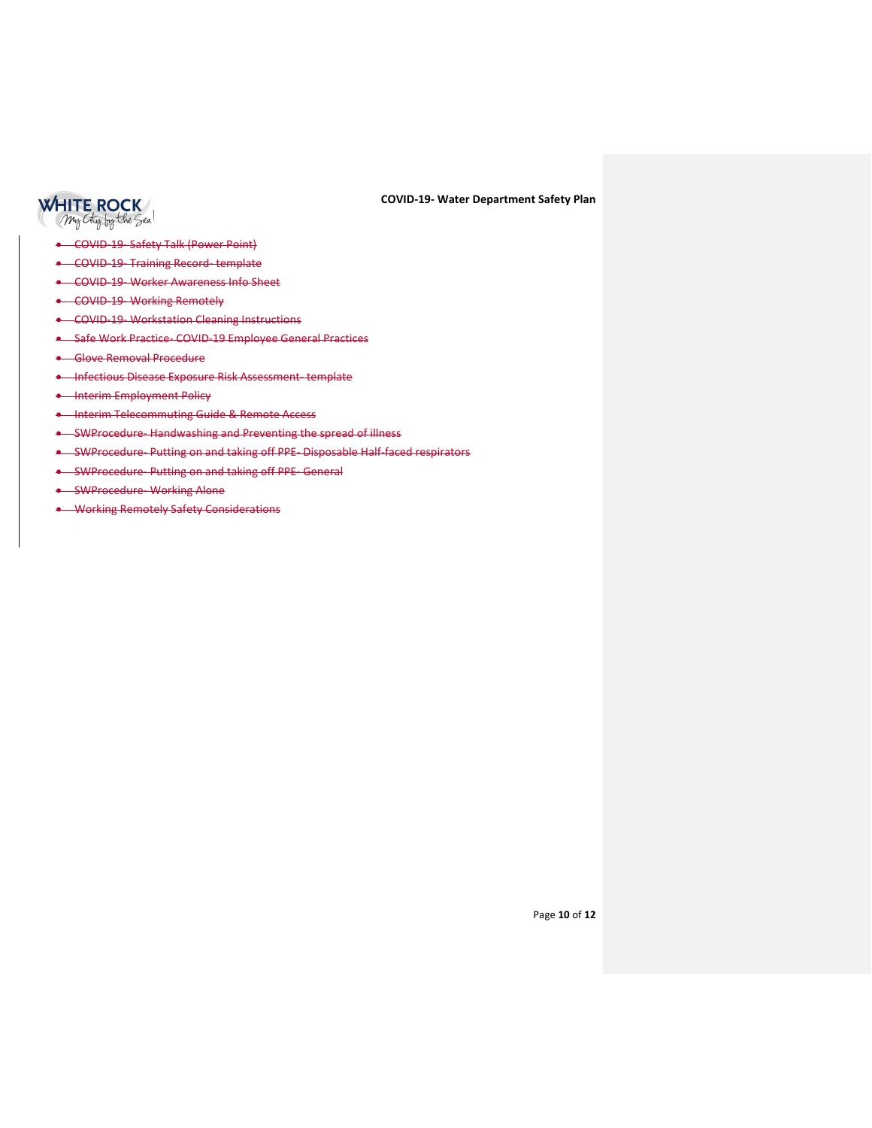

- COVID-19- Safety Talk (Power Point)
- COVID-19- Training Record- template
- COVID-19- Worker Awareness Info Sheet
- COVID-19- Working Remotely
- COVID-19- Workstation Cleaning Instructions
- Safe Work Practice- COVID-19 Employee General Practices
- Glove Removal Procedure
- Infectious Disease Exposure Risk Assessment- template
- **•** Interim Employment Policy
- Interim Telecommuting Guide & Remote Access
- SWProcedure- Handwashing and Preventing the spread of illness
- SWProcedure- Putting on and taking off PPE- Disposable Half-faced respirators
- SWProcedure- Putting on and taking off PPE- General
- SWProcedure- Working Alone
- Working Remotely Safety Considerations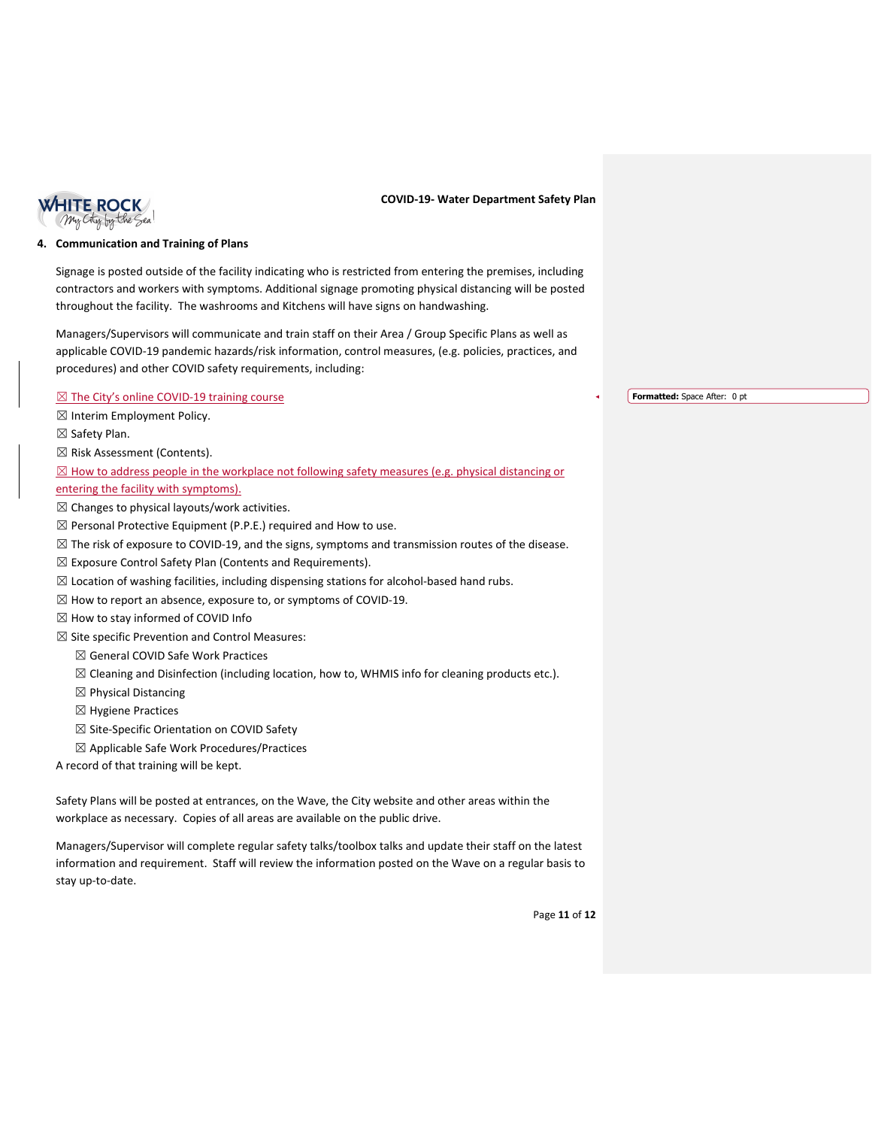

### **4. Communication and Training of Plans**

Signage is posted outside of the facility indicating who is restricted from entering the premises, including contractors and workers with symptoms. Additional signage promoting physical distancing will be posted throughout the facility. The washrooms and Kitchens will have signs on handwashing.

Managers/Supervisors will communicate and train staff on their Area / Group Specific Plans as well as applicable COVID-19 pandemic hazards/risk information, control measures, (e.g. policies, practices, and procedures) and other COVID safety requirements, including:

⊠ The City's online COVID-19 training course

- ☒ Interim Employment Policy.
- ☒ Safety Plan.
- ☒ Risk Assessment (Contents).

 $\boxtimes$  How to address people in the workplace not following safety measures (e.g. physical distancing or

entering the facility with symptoms).

- $\boxtimes$  Changes to physical layouts/work activities.
- $\boxtimes$  Personal Protective Equipment (P.P.E.) required and How to use.
- $\boxtimes$  The risk of exposure to COVID-19, and the signs, symptoms and transmission routes of the disease.
- $\boxtimes$  Exposure Control Safety Plan (Contents and Requirements).
- $\boxtimes$  Location of washing facilities, including dispensing stations for alcohol-based hand rubs.
- $\boxtimes$  How to report an absence, exposure to, or symptoms of COVID-19.
- ☒ How to stay informed of COVID Info

 $\boxtimes$  Site specific Prevention and Control Measures:

- ☒ General COVID Safe Work Practices
- ☒ Cleaning and Disinfection (including location, how to, WHMIS info for cleaning products etc.).
- $\boxtimes$  Physical Distancing
- ☒ Hygiene Practices
- ☒ Site-Specific Orientation on COVID Safety
- ☒ Applicable Safe Work Procedures/Practices

A record of that training will be kept.

Safety Plans will be posted at entrances, on the Wave, the City website and other areas within the workplace as necessary. Copies of all areas are available on the public drive.

Managers/Supervisor will complete regular safety talks/toolbox talks and update their staff on the latest information and requirement. Staff will review the information posted on the Wave on a regular basis to stay up-to-date.

**Formatted:** Space After: 0 pt